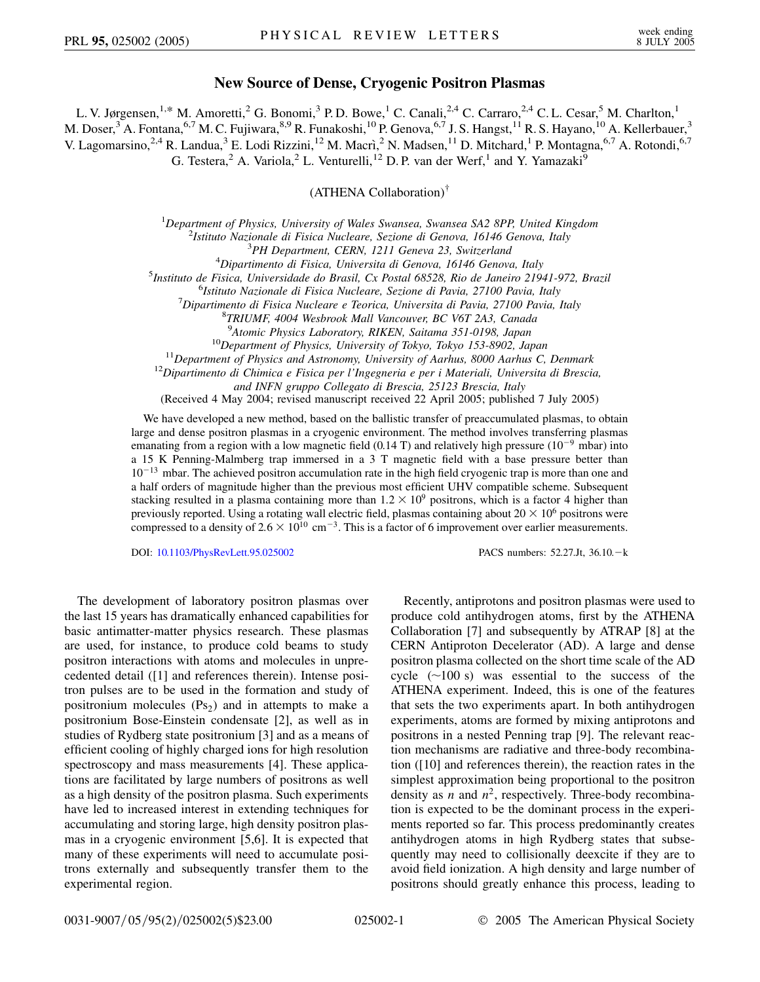## **New Source of Dense, Cryogenic Positron Plasmas**

L. V. Jørgensen,<sup>1,\*</sup> M. Amoretti,<sup>2</sup> G. Bonomi,<sup>3</sup> P. D. Bowe,<sup>1</sup> C. Canali,<sup>2,4</sup> C. Carraro,<sup>2,4</sup> C. L. Cesar,<sup>5</sup> M. Charlton,<sup>1</sup> M. Doser,<sup>3</sup> A. Fontana,<sup>6,7</sup> M. C. Fujiwara,<sup>8,9</sup> R. Funakoshi,<sup>10</sup> P. Genova,<sup>6,7</sup> J. S. Hangst,<sup>11</sup> R. S. Hayano,<sup>10</sup> A. Kellerbauer,<sup>3</sup> V. Lagomarsino,<sup>2,4</sup> R. Landua,<sup>3</sup> E. Lodi Rizzini,<sup>12</sup> M. Macrì,<sup>2</sup> N. Madsen,<sup>11</sup> D. Mitchard,<sup>1</sup> P. Montagna,<sup>6,7</sup> A. Rotondi,<sup>6,7</sup> G. Testera,  $^2$  A. Variola,  $^2$  L. Venturelli,  $^{12}$  D. P. van der Werf,  $^1$  and Y. Yamazaki<sup>9</sup>

(ATHENA Collaboration)†

<sup>1</sup>Department of Physics, University of Wales Swansea, Swansea SA2 8PP, United Kingdom<br><sup>2</sup>Istitute Nazionale di Fisica Nucleare, Sezione di Genova, 16146 Genova, Italy

*Istituto Nazionale di Fisica Nucleare, Sezione di Genova, 16146 Genova, Italy* <sup>3</sup>

<sup>3</sup>PH Department, CERN, 1211 Geneva 23, Switzerland

*Dipartimento di Fisica, Universita di Genova, 16146 Genova, Italy* <sup>5</sup>

*Instituto de Fisica, Universidade do Brasil, Cx Postal 68528, Rio de Janeiro 21941-972, Brazil* <sup>6</sup>

*Istituto Nazionale di Fisica Nucleare, Sezione di Pavia, 27100 Pavia, Italy* <sup>7</sup>

*Dipartimento di Fisica Nucleare e Teorica, Universita di Pavia, 27100 Pavia, Italy* <sup>8</sup>

*TRIUMF, 4004 Wesbrook Mall Vancouver, BC V6T 2A3, Canada*

<sup>9</sup>Atomic Physics Laboratory, RIKEN, Saitama 351-0198, Japan

<sup>10</sup>Department of Physics, University of Tokyo, Tokyo 153-8902, Japan<br><sup>11</sup>Department of Physics and Astronomy, University of Aarhus, 8000 Aarhus C, Denmark<sup>12</sup>Dipartimento di Chimica e Fisica per l'Ingegneria e per i Mate

*and INFN gruppo Collegato di Brescia, 25123 Brescia, Italy*

(Received 4 May 2004; revised manuscript received 22 April 2005; published 7 July 2005)

We have developed a new method, based on the ballistic transfer of preaccumulated plasmas, to obtain large and dense positron plasmas in a cryogenic environment. The method involves transferring plasmas emanating from a region with a low magnetic field (0.14 T) and relatively high pressure ( $10^{-9}$  mbar) into a 15 K Penning-Malmberg trap immersed in a 3 T magnetic field with a base pressure better than  $10^{-13}$  mbar. The achieved positron accumulation rate in the high field cryogenic trap is more than one and a half orders of magnitude higher than the previous most efficient UHV compatible scheme. Subsequent stacking resulted in a plasma containing more than  $1.2 \times 10^9$  positrons, which is a factor 4 higher than previously reported. Using a rotating wall electric field, plasmas containing about  $20 \times 10^6$  positrons were compressed to a density of  $2.6 \times 10^{10}$  cm<sup>-3</sup>. This is a factor of 6 improvement over earlier measurements.

DOI: [10.1103/PhysRevLett.95.025002](http://dx.doi.org/10.1103/PhysRevLett.95.025002) PACS numbers: 52.27.Jt, 36.10. $-k$ 

The development of laboratory positron plasmas over the last 15 years has dramatically enhanced capabilities for basic antimatter-matter physics research. These plasmas are used, for instance, to produce cold beams to study positron interactions with atoms and molecules in unprecedented detail ([1] and references therein). Intense positron pulses are to be used in the formation and study of positronium molecules  $(Ps<sub>2</sub>)$  and in attempts to make a positronium Bose-Einstein condensate [2], as well as in studies of Rydberg state positronium [3] and as a means of efficient cooling of highly charged ions for high resolution spectroscopy and mass measurements [4]. These applications are facilitated by large numbers of positrons as well as a high density of the positron plasma. Such experiments have led to increased interest in extending techniques for accumulating and storing large, high density positron plasmas in a cryogenic environment [5,6]. It is expected that many of these experiments will need to accumulate positrons externally and subsequently transfer them to the experimental region.

Recently, antiprotons and positron plasmas were used to produce cold antihydrogen atoms, first by the ATHENA Collaboration [7] and subsequently by ATRAP [8] at the CERN Antiproton Decelerator (AD). A large and dense positron plasma collected on the short time scale of the AD cycle  $(\sim 100 \text{ s})$  was essential to the success of the ATHENA experiment. Indeed, this is one of the features that sets the two experiments apart. In both antihydrogen experiments, atoms are formed by mixing antiprotons and positrons in a nested Penning trap [9]. The relevant reaction mechanisms are radiative and three-body recombination ([10] and references therein), the reaction rates in the simplest approximation being proportional to the positron density as *n* and  $n^2$ , respectively. Three-body recombination is expected to be the dominant process in the experiments reported so far. This process predominantly creates antihydrogen atoms in high Rydberg states that subsequently may need to collisionally deexcite if they are to avoid field ionization. A high density and large number of positrons should greatly enhance this process, leading to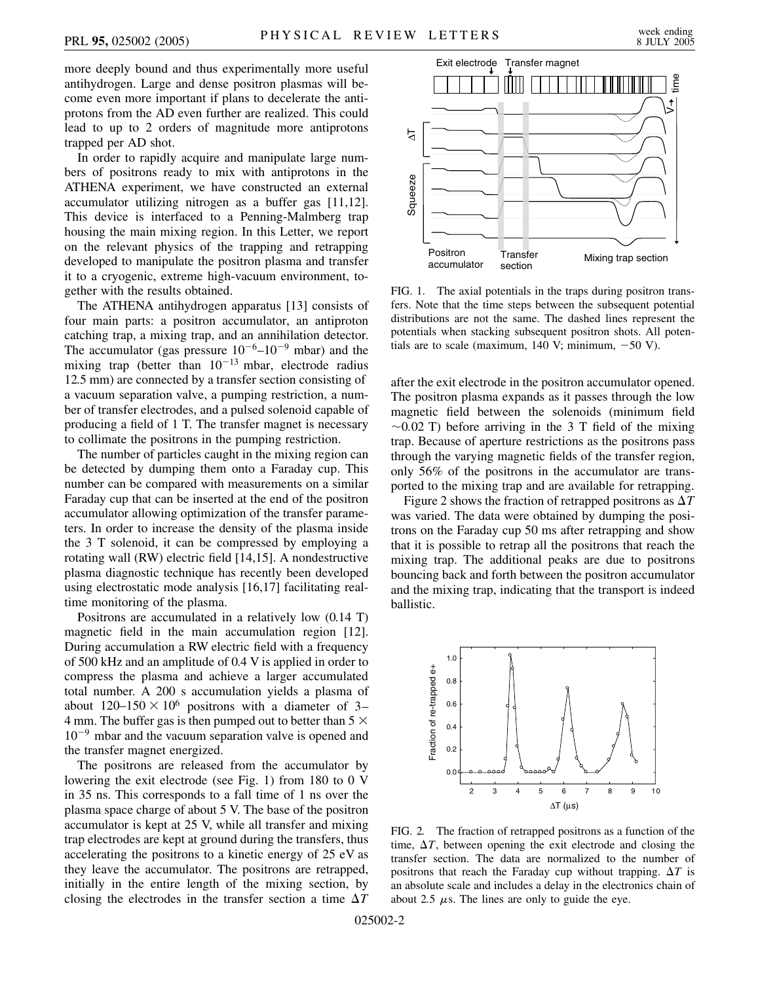more deeply bound and thus experimentally more useful antihydrogen. Large and dense positron plasmas will become even more important if plans to decelerate the antiprotons from the AD even further are realized. This could lead to up to 2 orders of magnitude more antiprotons trapped per AD shot.

In order to rapidly acquire and manipulate large numbers of positrons ready to mix with antiprotons in the ATHENA experiment, we have constructed an external accumulator utilizing nitrogen as a buffer gas [11,12]. This device is interfaced to a Penning-Malmberg trap housing the main mixing region. In this Letter, we report on the relevant physics of the trapping and retrapping developed to manipulate the positron plasma and transfer it to a cryogenic, extreme high-vacuum environment, together with the results obtained.

The ATHENA antihydrogen apparatus [13] consists of four main parts: a positron accumulator, an antiproton catching trap, a mixing trap, and an annihilation detector. The accumulator (gas pressure  $10^{-6}$ – $10^{-9}$  mbar) and the mixing trap (better than  $10^{-13}$  mbar, electrode radius 12.5 mm) are connected by a transfer section consisting of a vacuum separation valve, a pumping restriction, a number of transfer electrodes, and a pulsed solenoid capable of producing a field of 1 T. The transfer magnet is necessary to collimate the positrons in the pumping restriction.

The number of particles caught in the mixing region can be detected by dumping them onto a Faraday cup. This number can be compared with measurements on a similar Faraday cup that can be inserted at the end of the positron accumulator allowing optimization of the transfer parameters. In order to increase the density of the plasma inside the 3 T solenoid, it can be compressed by employing a rotating wall (RW) electric field [14,15]. A nondestructive plasma diagnostic technique has recently been developed using electrostatic mode analysis [16,17] facilitating realtime monitoring of the plasma.

Positrons are accumulated in a relatively low (0.14 T) magnetic field in the main accumulation region [12]. During accumulation a RW electric field with a frequency of 500 kHz and an amplitude of 0.4 V is applied in order to compress the plasma and achieve a larger accumulated total number. A 200 s accumulation yields a plasma of about  $120-150 \times 10^6$  positrons with a diameter of 3-4 mm. The buffer gas is then pumped out to better than 5  $\times$  $10^{-9}$  mbar and the vacuum separation valve is opened and the transfer magnet energized.

The positrons are released from the accumulator by lowering the exit electrode (see Fig. 1) from 180 to 0 V in 35 ns. This corresponds to a fall time of 1 ns over the plasma space charge of about 5 V. The base of the positron accumulator is kept at 25 V, while all transfer and mixing trap electrodes are kept at ground during the transfers, thus accelerating the positrons to a kinetic energy of 25 eV as they leave the accumulator. The positrons are retrapped, initially in the entire length of the mixing section, by closing the electrodes in the transfer section a time  $\Delta T$ 



FIG. 1. The axial potentials in the traps during positron transfers. Note that the time steps between the subsequent potential distributions are not the same. The dashed lines represent the potentials when stacking subsequent positron shots. All potentials are to scale (maximum, 140 V; minimum,  $-50$  V).

after the exit electrode in the positron accumulator opened. The positron plasma expands as it passes through the low magnetic field between the solenoids (minimum field  $\sim$ 0.02 T) before arriving in the 3 T field of the mixing trap. Because of aperture restrictions as the positrons pass through the varying magnetic fields of the transfer region, only 56% of the positrons in the accumulator are transported to the mixing trap and are available for retrapping.

Figure 2 shows the fraction of retrapped positrons as  $\Delta T$ was varied. The data were obtained by dumping the positrons on the Faraday cup 50 ms after retrapping and show that it is possible to retrap all the positrons that reach the mixing trap. The additional peaks are due to positrons bouncing back and forth between the positron accumulator and the mixing trap, indicating that the transport is indeed ballistic.



FIG. 2. The fraction of retrapped positrons as a function of the time,  $\Delta T$ , between opening the exit electrode and closing the transfer section. The data are normalized to the number of positrons that reach the Faraday cup without trapping.  $\Delta T$  is an absolute scale and includes a delay in the electronics chain of about 2.5  $\mu$ s. The lines are only to guide the eye.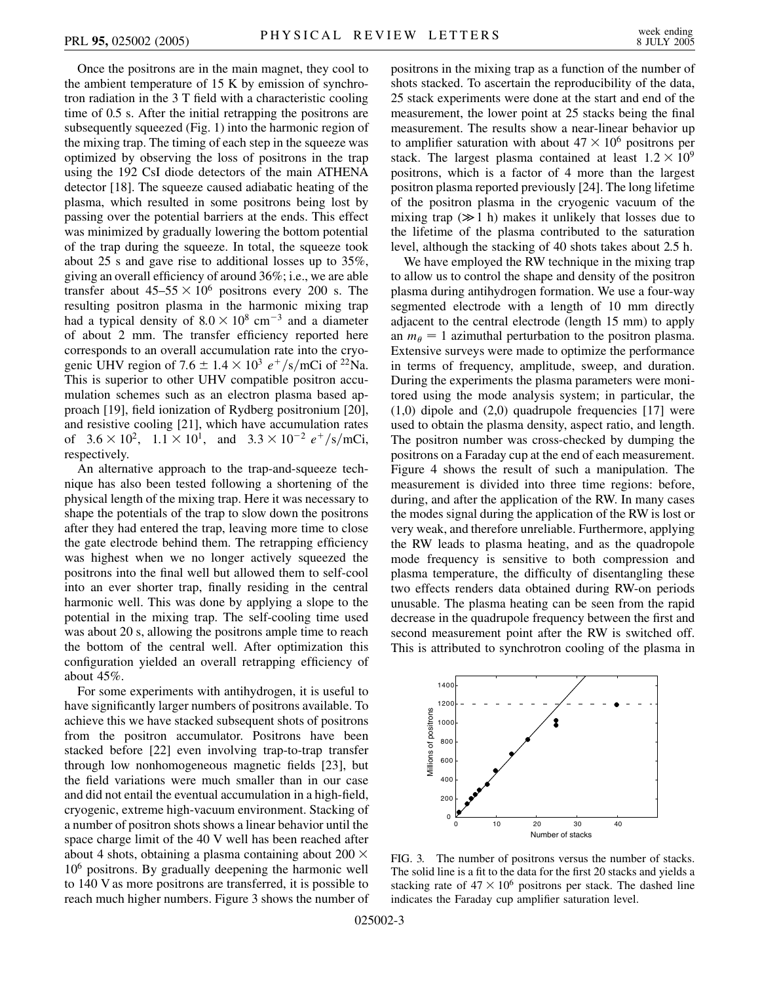Once the positrons are in the main magnet, they cool to the ambient temperature of 15 K by emission of synchrotron radiation in the 3 T field with a characteristic cooling time of 0.5 s. After the initial retrapping the positrons are subsequently squeezed (Fig. 1) into the harmonic region of the mixing trap. The timing of each step in the squeeze was optimized by observing the loss of positrons in the trap using the 192 CsI diode detectors of the main ATHENA detector [18]. The squeeze caused adiabatic heating of the plasma, which resulted in some positrons being lost by passing over the potential barriers at the ends. This effect was minimized by gradually lowering the bottom potential of the trap during the squeeze. In total, the squeeze took about 25 s and gave rise to additional losses up to 35%, giving an overall efficiency of around 36%; i.e., we are able transfer about  $45-55 \times 10^6$  positrons every 200 s. The resulting positron plasma in the harmonic mixing trap had a typical density of  $8.0 \times 10^8$  cm<sup>-3</sup> and a diameter of about 2 mm. The transfer efficiency reported here corresponds to an overall accumulation rate into the cryogenic UHV region of 7.6  $\pm$  1.4  $\times$  10<sup>3</sup>  $e^{+}/s/m$ Ci of <sup>22</sup>Na. This is superior to other UHV compatible positron accumulation schemes such as an electron plasma based approach [19], field ionization of Rydberg positronium [20], and resistive cooling [21], which have accumulation rates of  $3.6 \times 10^2$ ,  $1.1 \times 10^1$ , and  $3.3 \times 10^{-2} e^{+}/s/mCi$ , respectively.

An alternative approach to the trap-and-squeeze technique has also been tested following a shortening of the physical length of the mixing trap. Here it was necessary to shape the potentials of the trap to slow down the positrons after they had entered the trap, leaving more time to close the gate electrode behind them. The retrapping efficiency was highest when we no longer actively squeezed the positrons into the final well but allowed them to self-cool into an ever shorter trap, finally residing in the central harmonic well. This was done by applying a slope to the potential in the mixing trap. The self-cooling time used was about 20 s, allowing the positrons ample time to reach the bottom of the central well. After optimization this configuration yielded an overall retrapping efficiency of about 45%.

For some experiments with antihydrogen, it is useful to have significantly larger numbers of positrons available. To achieve this we have stacked subsequent shots of positrons from the positron accumulator. Positrons have been stacked before [22] even involving trap-to-trap transfer through low nonhomogeneous magnetic fields [23], but the field variations were much smaller than in our case and did not entail the eventual accumulation in a high-field, cryogenic, extreme high-vacuum environment. Stacking of a number of positron shots shows a linear behavior until the space charge limit of the 40 V well has been reached after about 4 shots, obtaining a plasma containing about 200  $\times$ 10<sup>6</sup> positrons. By gradually deepening the harmonic well to 140 V as more positrons are transferred, it is possible to reach much higher numbers. Figure 3 shows the number of positrons in the mixing trap as a function of the number of shots stacked. To ascertain the reproducibility of the data, 25 stack experiments were done at the start and end of the measurement, the lower point at 25 stacks being the final measurement. The results show a near-linear behavior up to amplifier saturation with about  $47 \times 10^6$  positrons per stack. The largest plasma contained at least  $1.2 \times 10^9$ positrons, which is a factor of 4 more than the largest positron plasma reported previously [24]. The long lifetime of the positron plasma in the cryogenic vacuum of the mixing trap  $(\gg 1 h)$  makes it unlikely that losses due to the lifetime of the plasma contributed to the saturation level, although the stacking of 40 shots takes about 2.5 h.

We have employed the RW technique in the mixing trap to allow us to control the shape and density of the positron plasma during antihydrogen formation. We use a four-way segmented electrode with a length of 10 mm directly adjacent to the central electrode (length 15 mm) to apply an  $m_{\theta} = 1$  azimuthal perturbation to the positron plasma. Extensive surveys were made to optimize the performance in terms of frequency, amplitude, sweep, and duration. During the experiments the plasma parameters were monitored using the mode analysis system; in particular, the  $(1,0)$  dipole and  $(2,0)$  quadrupole frequencies [17] were used to obtain the plasma density, aspect ratio, and length. The positron number was cross-checked by dumping the positrons on a Faraday cup at the end of each measurement. Figure 4 shows the result of such a manipulation. The measurement is divided into three time regions: before, during, and after the application of the RW. In many cases the modes signal during the application of the RW is lost or very weak, and therefore unreliable. Furthermore, applying the RW leads to plasma heating, and as the quadropole mode frequency is sensitive to both compression and plasma temperature, the difficulty of disentangling these two effects renders data obtained during RW-on periods unusable. The plasma heating can be seen from the rapid decrease in the quadrupole frequency between the first and second measurement point after the RW is switched off. This is attributed to synchrotron cooling of the plasma in



FIG. 3. The number of positrons versus the number of stacks. The solid line is a fit to the data for the first 20 stacks and yields a stacking rate of  $47 \times 10^6$  positrons per stack. The dashed line indicates the Faraday cup amplifier saturation level.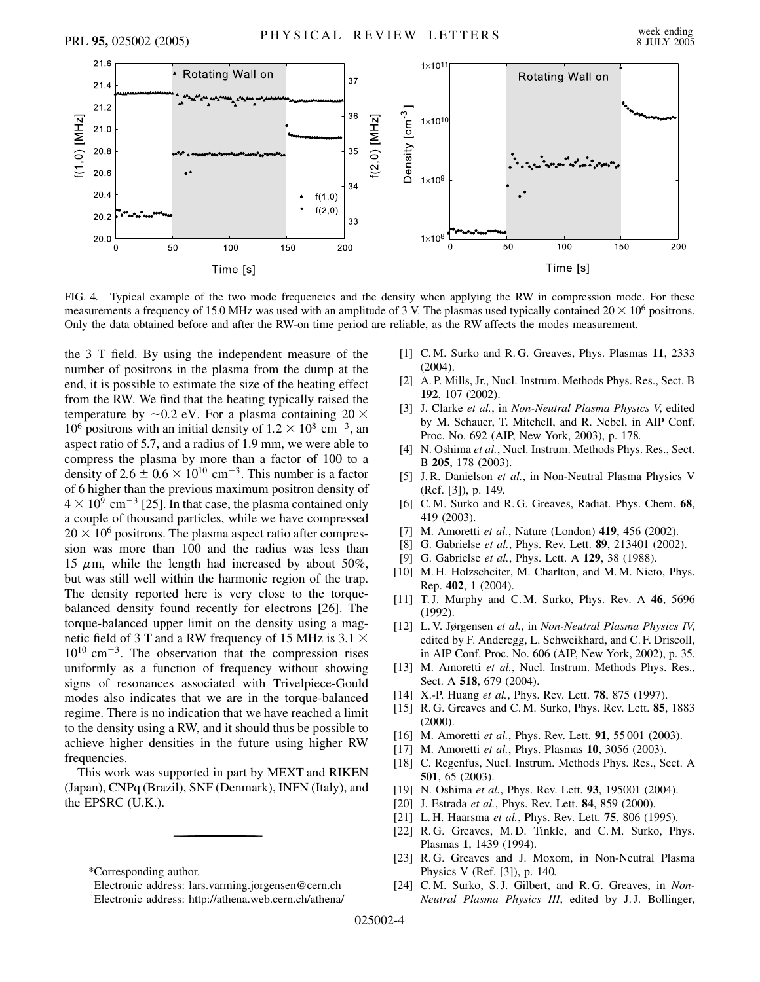

FIG. 4. Typical example of the two mode frequencies and the density when applying the RW in compression mode. For these measurements a frequency of 15.0 MHz was used with an amplitude of 3 V. The plasmas used typically contained  $20 \times 10^6$  positrons. Only the data obtained before and after the RW-on time period are reliable, as the RW affects the modes measurement.

the 3 T field. By using the independent measure of the number of positrons in the plasma from the dump at the end, it is possible to estimate the size of the heating effect from the RW. We find that the heating typically raised the temperature by  $\sim 0.2$  eV. For a plasma containing 20  $\times$ 10<sup>6</sup> positrons with an initial density of  $1.2 \times 10^8$  cm<sup>-3</sup>, an aspect ratio of 5.7, and a radius of 1.9 mm, we were able to compress the plasma by more than a factor of 100 to a density of  $2.6 \pm 0.6 \times 10^{10}$  cm<sup>-3</sup>. This number is a factor of 6 higher than the previous maximum positron density of  $4 \times 10^9$  cm<sup>-3</sup> [25]. In that case, the plasma contained only a couple of thousand particles, while we have compressed  $20 \times 10^6$  positrons. The plasma aspect ratio after compression was more than 100 and the radius was less than 15  $\mu$ m, while the length had increased by about 50%, but was still well within the harmonic region of the trap. The density reported here is very close to the torquebalanced density found recently for electrons [26]. The torque-balanced upper limit on the density using a magnetic field of 3 T and a RW frequency of 15 MHz is  $3.1 \times$  $10^{10}$  cm<sup>-3</sup>. The observation that the compression rises uniformly as a function of frequency without showing signs of resonances associated with Trivelpiece-Gould modes also indicates that we are in the torque-balanced regime. There is no indication that we have reached a limit to the density using a RW, and it should thus be possible to achieve higher densities in the future using higher RW frequencies.

This work was supported in part by MEXT and RIKEN (Japan), CNPq (Brazil), SNF (Denmark), INFN (Italy), and the EPSRC (U.K.).

- [1] C. M. Surko and R. G. Greaves, Phys. Plasmas **11**, 2333 (2004).
- [2] A. P. Mills, Jr., Nucl. Instrum. Methods Phys. Res., Sect. B **192**, 107 (2002).
- [3] J. Clarke *et al.*, in *Non-Neutral Plasma Physics V*, edited by M. Schauer, T. Mitchell, and R. Nebel, in AIP Conf. Proc. No. 692 (AIP, New York, 2003), p. 178.
- [4] N. Oshima *et al.*, Nucl. Instrum. Methods Phys. Res., Sect. B **205**, 178 (2003).
- [5] J. R. Danielson *et al.*, in Non-Neutral Plasma Physics V (Ref. [3]), p. 149.
- [6] C. M. Surko and R. G. Greaves, Radiat. Phys. Chem. **68**, 419 (2003).
- [7] M. Amoretti *et al.*, Nature (London) **419**, 456 (2002).
- [8] G. Gabrielse *et al.*, Phys. Rev. Lett. **89**, 213401 (2002).
- [9] G. Gabrielse *et al.*, Phys. Lett. A **129**, 38 (1988).
- [10] M. H. Holzscheiter, M. Charlton, and M. M. Nieto, Phys. Rep. **402**, 1 (2004).
- [11] T. J. Murphy and C. M. Surko, Phys. Rev. A **46**, 5696 (1992).
- [12] L. V. Jørgensen *et al.*, in *Non-Neutral Plasma Physics IV*, edited by F. Anderegg, L. Schweikhard, and C. F. Driscoll, in AIP Conf. Proc. No. 606 (AIP, New York, 2002), p. 35.
- [13] M. Amoretti et al., Nucl. Instrum. Methods Phys. Res., Sect. A **518**, 679 (2004).
- [14] X.-P. Huang *et al.*, Phys. Rev. Lett. **78**, 875 (1997).
- [15] R. G. Greaves and C. M. Surko, Phys. Rev. Lett. **85**, 1883 (2000).
- [16] M. Amoretti *et al.*, Phys. Rev. Lett. **91**, 55 001 (2003).
- [17] M. Amoretti *et al.*, Phys. Plasmas **10**, 3056 (2003).
- [18] C. Regenfus, Nucl. Instrum. Methods Phys. Res., Sect. A **501**, 65 (2003).
- [19] N. Oshima *et al.*, Phys. Rev. Lett. **93**, 195001 (2004).
- [20] J. Estrada *et al.*, Phys. Rev. Lett. **84**, 859 (2000).
- [21] L. H. Haarsma *et al.*, Phys. Rev. Lett. **75**, 806 (1995).
- [22] R. G. Greaves, M. D. Tinkle, and C. M. Surko, Phys. Plasmas **1**, 1439 (1994).
- [23] R. G. Greaves and J. Moxom, in Non-Neutral Plasma Physics V (Ref. [3]), p. 140.
- [24] C. M. Surko, S. J. Gilbert, and R. G. Greaves, in *Non-Neutral Plasma Physics III*, edited by J. J. Bollinger,

<sup>\*</sup>Corresponding author.

Electronic address: lars.varming.jorgensen@cern.ch

<sup>†</sup> Electronic address: http://athena.web.cern.ch/athena/